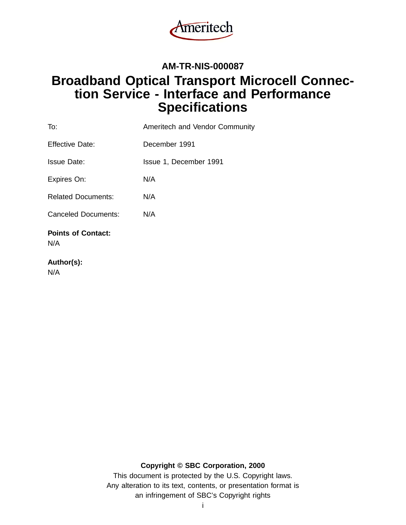

# **AM-TR-NIS-000087**

# **Broadband Optical Transport Microcell Connection Service - Interface and Performance Specifications**

| To:                              | Ameritech and Vendor Community |
|----------------------------------|--------------------------------|
| <b>Effective Date:</b>           | December 1991                  |
| <b>Issue Date:</b>               | Issue 1, December 1991         |
| Expires On:                      | N/A                            |
| <b>Related Documents:</b>        | N/A                            |
| <b>Canceled Documents:</b>       | N/A                            |
| <b>Points of Contact:</b><br>N/A |                                |
|                                  |                                |

**Author(s):**

N/A

#### **Copyright © SBC Corporation, 2000**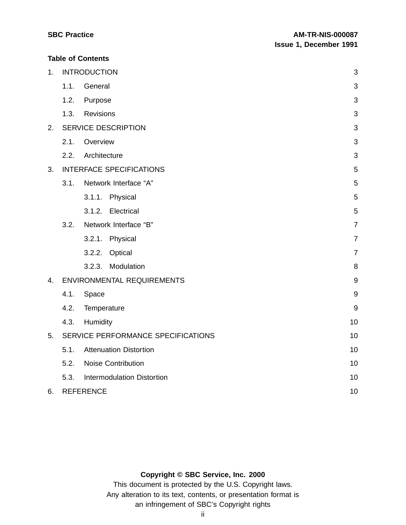#### **Table of Contents**

| 1. |      | <b>INTRODUCTION</b>                | $\sqrt{3}$       |
|----|------|------------------------------------|------------------|
|    | 1.1. | General                            | $\mathfrak{B}$   |
|    | 1.2. | Purpose                            | 3                |
|    | 1.3. | Revisions                          | $\sqrt{3}$       |
| 2. |      | SERVICE DESCRIPTION                | 3                |
|    | 2.1. | Overview                           | 3                |
|    | 2.2. | Architecture                       | $\mathfrak{B}$   |
| 3. |      | <b>INTERFACE SPECIFICATIONS</b>    | 5                |
|    | 3.1. | Network Interface "A"              | 5                |
|    |      | 3.1.1. Physical                    | 5                |
|    |      | 3.1.2. Electrical                  | 5                |
|    | 3.2. | Network Interface "B"              | $\overline{7}$   |
|    |      | 3.2.1. Physical                    | $\overline{7}$   |
|    |      | 3.2.2.<br>Optical                  | $\overline{7}$   |
|    |      | 3.2.3. Modulation                  | 8                |
| 4. |      | <b>ENVIRONMENTAL REQUIREMENTS</b>  | $\boldsymbol{9}$ |
|    | 4.1. | Space                              | $\boldsymbol{9}$ |
|    | 4.2. | Temperature                        | $9\,$            |
|    | 4.3. | Humidity                           | 10               |
| 5. |      | SERVICE PERFORMANCE SPECIFICATIONS | 10               |
|    | 5.1. | <b>Attenuation Distortion</b>      | 10               |
|    | 5.2. | <b>Noise Contribution</b>          | 10               |
|    | 5.3. | <b>Intermodulation Distortion</b>  | 10               |
| 6. |      | <b>REFERENCE</b>                   | 10               |

## **Copyright © SBC Service, Inc. 2000**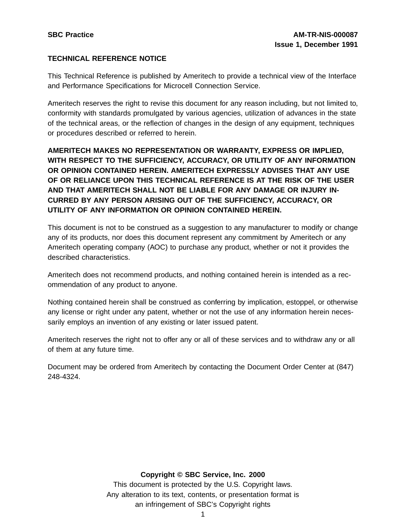## **TECHNICAL REFERENCE NOTICE**

This Technical Reference is published by Ameritech to provide a technical view of the Interface and Performance Specifications for Microcell Connection Service.

Ameritech reserves the right to revise this document for any reason including, but not limited to, conformity with standards promulgated by various agencies, utilization of advances in the state of the technical areas, or the reflection of changes in the design of any equipment, techniques or procedures described or referred to herein.

**AMERITECH MAKES NO REPRESENTATION OR WARRANTY, EXPRESS OR IMPLIED, WITH RESPECT TO THE SUFFICIENCY, ACCURACY, OR UTILITY OF ANY INFORMATION OR OPINION CONTAINED HEREIN. AMERITECH EXPRESSLY ADVISES THAT ANY USE OF OR RELIANCE UPON THIS TECHNICAL REFERENCE IS AT THE RISK OF THE USER AND THAT AMERITECH SHALL NOT BE LIABLE FOR ANY DAMAGE OR INJURY IN-CURRED BY ANY PERSON ARISING OUT OF THE SUFFICIENCY, ACCURACY, OR UTILITY OF ANY INFORMATION OR OPINION CONTAINED HEREIN.**

This document is not to be construed as a suggestion to any manufacturer to modify or change any of its products, nor does this document represent any commitment by Ameritech or any Ameritech operating company (AOC) to purchase any product, whether or not it provides the described characteristics.

Ameritech does not recommend products, and nothing contained herein is intended as a recommendation of any product to anyone.

Nothing contained herein shall be construed as conferring by implication, estoppel, or otherwise any license or right under any patent, whether or not the use of any information herein necessarily employs an invention of any existing or later issued patent.

Ameritech reserves the right not to offer any or all of these services and to withdraw any or all of them at any future time.

Document may be ordered from Ameritech by contacting the Document Order Center at (847) 248-4324.

#### **Copyright © SBC Service, Inc. 2000**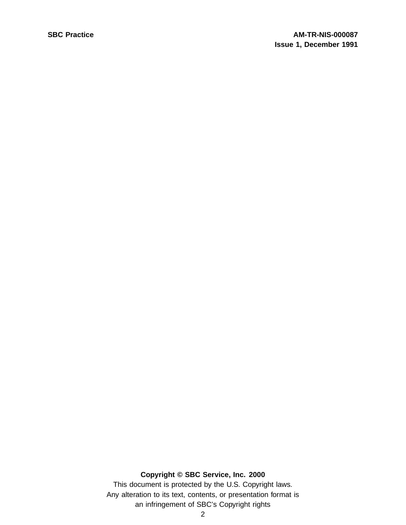# **Copyright © SBC Service, Inc. 2000**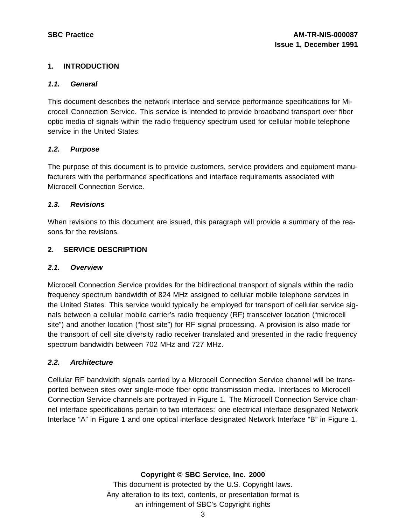## **1. INTRODUCTION**

#### **1.1. General**

This document describes the network interface and service performance specifications for Microcell Connection Service. This service is intended to provide broadband transport over fiber optic media of signals within the radio frequency spectrum used for cellular mobile telephone service in the United States.

#### **1.2. Purpose**

The purpose of this document is to provide customers, service providers and equipment manufacturers with the performance specifications and interface requirements associated with Microcell Connection Service.

#### **1.3. Revisions**

When revisions to this document are issued, this paragraph will provide a summary of the reasons for the revisions.

#### **2. SERVICE DESCRIPTION**

#### **2.1. Overview**

Microcell Connection Service provides for the bidirectional transport of signals within the radio frequency spectrum bandwidth of 824 MHz assigned to cellular mobile telephone services in the United States. This service would typically be employed for transport of cellular service signals between a cellular mobile carrier's radio frequency (RF) transceiver location ("microcell site") and another location ("host site") for RF signal processing. A provision is also made for the transport of cell site diversity radio receiver translated and presented in the radio frequency spectrum bandwidth between 702 MHz and 727 MHz.

#### **2.2. Architecture**

Cellular RF bandwidth signals carried by a Microcell Connection Service channel will be transported between sites over single-mode fiber optic transmission media. Interfaces to Microcell Connection Service channels are portrayed in Figure 1. The Microcell Connection Service channel interface specifications pertain to two interfaces: one electrical interface designated Network Interface "A" in Figure 1 and one optical interface designated Network Interface "B" in Figure 1.

**Copyright © SBC Service, Inc. 2000**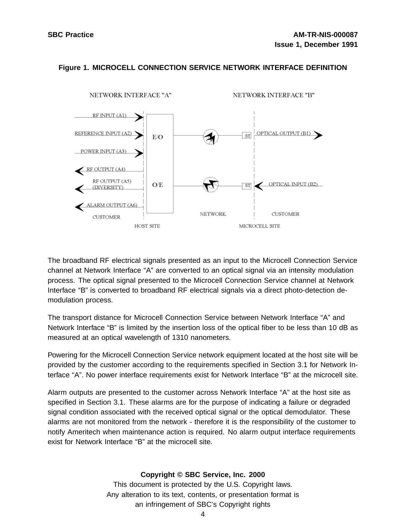

#### **Figure 1. MICROCELL CONNECTION SERVICE NETWORK INTERFACE DEFINITION**

The broadband RF electrical signals presented as an input to the Microcell Connection Service channel at Network Interface "A" are converted to an optical signal via an intensity modulation process. The optical signal presented to the Microcell Connection Service channel at Network Interface "B" is converted to broadband RF electrical signals via a direct photo-detection demodulation process.

The transport distance for Microcell Connection Service between Network Interface "A" and Network Interface "B" is limited by the insertion loss of the optical fiber to be less than 10 dB as measured at an optical wavelength of 1310 nanometers.

Powering for the Microcell Connection Service network equipment located at the host site will be provided by the customer according to the requirements specified in Section 3.1 for Network Interface "A". No power interface requirements exist for Network Interface "B" at the microcell site.

Alarm outputs are presented to the customer across Network Interface "A" at the host site as specified in Section 3.1. These alarms are for the purpose of indicating a failure or degraded signal condition associated with the received optical signal or the optical demodulator. These alarms are not monitored from the network - therefore it is the responsibility of the customer to notify Ameritech when maintenance action is required. No alarm output interface requirements exist for Network Interface "B" at the microcell site.

#### **Copyright © SBC Service, Inc. 2000**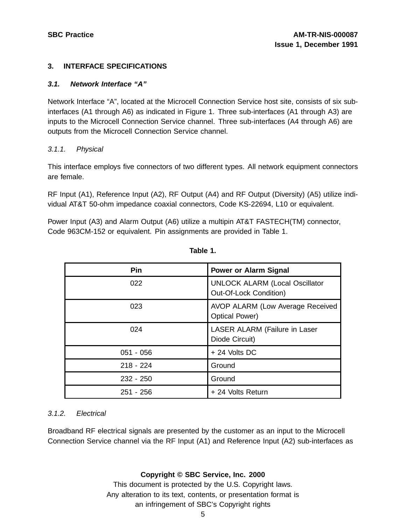## **3. INTERFACE SPECIFICATIONS**

## **3.1. Network Interface "A"**

Network Interface "A", located at the Microcell Connection Service host site, consists of six subinterfaces (A1 through A6) as indicated in Figure 1. Three sub-interfaces (A1 through A3) are inputs to the Microcell Connection Service channel. Three sub-interfaces (A4 through A6) are outputs from the Microcell Connection Service channel.

## 3.1.1. Physical

This interface employs five connectors of two different types. All network equipment connectors are female.

RF Input (A1), Reference Input (A2), RF Output (A4) and RF Output (Diversity) (A5) utilize individual AT&T 50-ohm impedance coaxial connectors, Code KS-22694, L10 or equivalent.

Power Input (A3) and Alarm Output (A6) utilize a multipin AT&T FASTECH(TM) connector, Code 963CM-152 or equivalent. Pin assignments are provided in Table 1.

| Pin         | <b>Power or Alarm Signal</b>                                    |
|-------------|-----------------------------------------------------------------|
| 022         | <b>UNLOCK ALARM (Local Oscillator</b><br>Out-Of-Lock Condition) |
| 023         | AVOP ALARM (Low Average Received<br>Optical Power)              |
| 024         | LASER ALARM (Failure in Laser<br>Diode Circuit)                 |
| $051 - 056$ | + 24 Volts DC                                                   |
| $218 - 224$ | Ground                                                          |
| 232 - 250   | Ground                                                          |
| 251 - 256   | + 24 Volts Return                                               |

#### **Table 1.**

#### 3.1.2. Electrical

Broadband RF electrical signals are presented by the customer as an input to the Microcell Connection Service channel via the RF Input (A1) and Reference Input (A2) sub-interfaces as

#### **Copyright © SBC Service, Inc. 2000**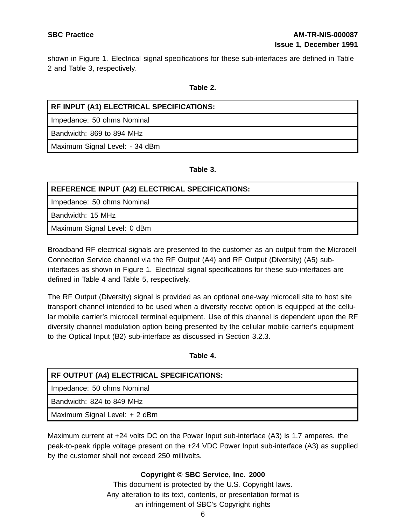shown in Figure 1. Electrical signal specifications for these sub-interfaces are defined in Table 2 and Table 3, respectively.

#### **Table 2.**

| <b>RF INPUT (A1) ELECTRICAL SPECIFICATIONS:</b> |
|-------------------------------------------------|
| Impedance: 50 ohms Nominal                      |
| Bandwidth: 869 to 894 MHz                       |
| Maximum Signal Level: - 34 dBm                  |

#### **Table 3.**

| REFERENCE INPUT (A2) ELECTRICAL SPECIFICATIONS: |  |
|-------------------------------------------------|--|
| Impedance: 50 ohms Nominal                      |  |
| Bandwidth: 15 MHz                               |  |
| Maximum Signal Level: 0 dBm                     |  |

Broadband RF electrical signals are presented to the customer as an output from the Microcell Connection Service channel via the RF Output (A4) and RF Output (Diversity) (A5) subinterfaces as shown in Figure 1. Electrical signal specifications for these sub-interfaces are defined in Table 4 and Table 5, respectively.

The RF Output (Diversity) signal is provided as an optional one-way microcell site to host site transport channel intended to be used when a diversity receive option is equipped at the cellular mobile carrier's microcell terminal equipment. Use of this channel is dependent upon the RF diversity channel modulation option being presented by the cellular mobile carrier's equipment to the Optical Input (B2) sub-interface as discussed in Section 3.2.3.

**Table 4.**

| RF OUTPUT (A4) ELECTRICAL SPECIFICATIONS: |  |
|-------------------------------------------|--|
| Impedance: 50 ohms Nominal                |  |
| Bandwidth: 824 to 849 MHz                 |  |
| Maximum Signal Level: + 2 dBm             |  |

Maximum current at +24 volts DC on the Power Input sub-interface (A3) is 1.7 amperes. the peak-to-peak ripple voltage present on the +24 VDC Power Input sub-interface (A3) as supplied by the customer shall not exceed 250 millivolts.

#### **Copyright © SBC Service, Inc. 2000**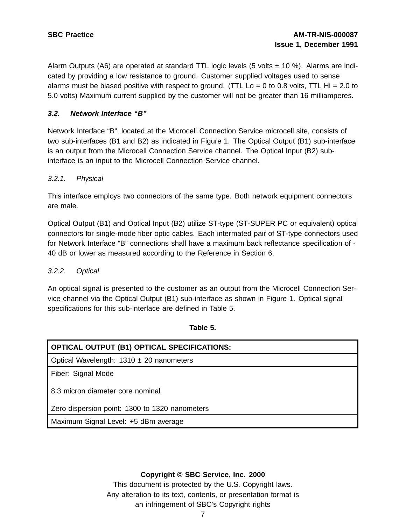Alarm Outputs (A6) are operated at standard TTL logic levels (5 volts  $\pm$  10 %). Alarms are indicated by providing a low resistance to ground. Customer supplied voltages used to sense alarms must be biased positive with respect to ground. (TTL  $Lo = 0$  to 0.8 volts, TTL Hi = 2.0 to 5.0 volts) Maximum current supplied by the customer will not be greater than 16 milliamperes.

#### **3.2. Network Interface "B"**

Network Interface "B", located at the Microcell Connection Service microcell site, consists of two sub-interfaces (B1 and B2) as indicated in Figure 1. The Optical Output (B1) sub-interface is an output from the Microcell Connection Service channel. The Optical Input (B2) subinterface is an input to the Microcell Connection Service channel.

#### 3.2.1. Physical

This interface employs two connectors of the same type. Both network equipment connectors are male.

Optical Output (B1) and Optical Input (B2) utilize ST-type (ST-SUPER PC or equivalent) optical connectors for single-mode fiber optic cables. Each intermated pair of ST-type connectors used for Network Interface "B" connections shall have a maximum back reflectance specification of - 40 dB or lower as measured according to the Reference in Section 6.

#### 3.2.2. Optical

An optical signal is presented to the customer as an output from the Microcell Connection Service channel via the Optical Output (B1) sub-interface as shown in Figure 1. Optical signal specifications for this sub-interface are defined in Table 5.

| <b>OPTICAL OUTPUT (B1) OPTICAL SPECIFICATIONS:</b> |
|----------------------------------------------------|
| Optical Wavelength: $1310 \pm 20$ nanometers       |
| Fiber: Signal Mode                                 |
| 8.3 micron diameter core nominal                   |
| Zero dispersion point: 1300 to 1320 nanometers     |
| Maximum Signal Level: +5 dBm average               |

#### **Table 5.**

#### **Copyright © SBC Service, Inc. 2000**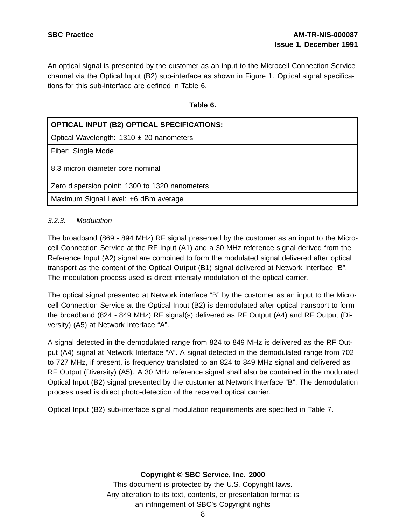An optical signal is presented by the customer as an input to the Microcell Connection Service channel via the Optical Input (B2) sub-interface as shown in Figure 1. Optical signal specifications for this sub-interface are defined in Table 6.

#### **Table 6.**

| <b>OPTICAL INPUT (B2) OPTICAL SPECIFICATIONS:</b> |  |
|---------------------------------------------------|--|
| Optical Wavelength: $1310 \pm 20$ nanometers      |  |
| Fiber: Single Mode                                |  |
| 8.3 micron diameter core nominal                  |  |
| Zero dispersion point: 1300 to 1320 nanometers    |  |
| Maximum Signal Level: +6 dBm average              |  |

#### 3.2.3. Modulation

The broadband (869 - 894 MHz) RF signal presented by the customer as an input to the Microcell Connection Service at the RF Input (A1) and a 30 MHz reference signal derived from the Reference Input (A2) signal are combined to form the modulated signal delivered after optical transport as the content of the Optical Output (B1) signal delivered at Network Interface "B". The modulation process used is direct intensity modulation of the optical carrier.

The optical signal presented at Network interface "B" by the customer as an input to the Microcell Connection Service at the Optical Input (B2) is demodulated after optical transport to form the broadband (824 - 849 MHz) RF signal(s) delivered as RF Output (A4) and RF Output (Diversity) (A5) at Network Interface "A".

A signal detected in the demodulated range from 824 to 849 MHz is delivered as the RF Output (A4) signal at Network Interface "A". A signal detected in the demodulated range from 702 to 727 MHz, if present, is frequency translated to an 824 to 849 MHz signal and delivered as RF Output (Diversity) (A5). A 30 MHz reference signal shall also be contained in the modulated Optical Input (B2) signal presented by the customer at Network Interface "B". The demodulation process used is direct photo-detection of the received optical carrier.

Optical Input (B2) sub-interface signal modulation requirements are specified in Table 7.

#### **Copyright © SBC Service, Inc. 2000**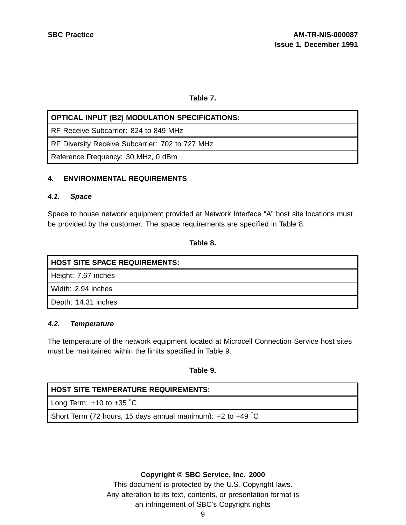## **Table 7.**

**OPTICAL INPUT (B2) MODULATION SPECIFICATIONS:**

RF Receive Subcarrier: 824 to 849 MHz

RF Diversity Receive Subcarrier: 702 to 727 MHz

Reference Frequency: 30 MHz, 0 dBm

#### **4. ENVIRONMENTAL REQUIREMENTS**

#### **4.1. Space**

Space to house network equipment provided at Network Interface "A" host site locations must be provided by the customer. The space requirements are specified in Table 8.

**Table 8.**

| HOST SITE SPACE REQUIREMENTS: |
|-------------------------------|
| Height: 7.67 inches           |
| Width: 2.94 inches            |
| Depth: 14.31 inches           |

#### **4.2. Temperature**

The temperature of the network equipment located at Microcell Connection Service host sites must be maintained within the limits specified in Table 9.

#### **Table 9.**

| <b>HOST SITE TEMPERATURE REQUIREMENTS:</b>                      |  |
|-----------------------------------------------------------------|--|
| Long Term: $+10$ to $+35$ °C                                    |  |
| Short Term (72 hours, 15 days annual manimum): $+2$ to $+49$ °C |  |

#### **Copyright © SBC Service, Inc. 2000**